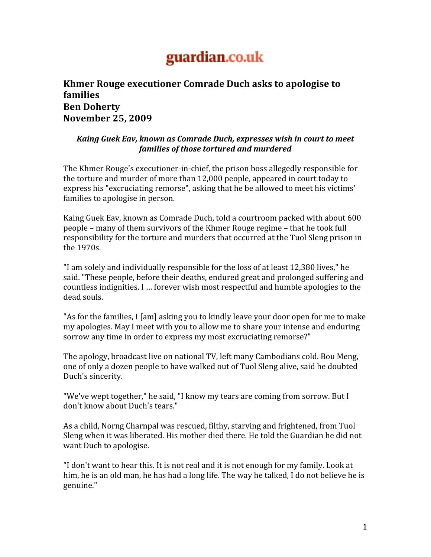## guardian.co.uk

**Khmer Rouge executioner Comrade Duch asks to apologise to families Ben Doherty November 25, 2009**

## *Kaing
Guek
Eav,
known
as
Comrade
Duch,
expresses
wish
in
court
to
meet families
of
those
tortured
and
murdered*

The
Khmer
Rouge's
executioner‐in‐chief,
the
prison
boss
allegedly
responsible
for the torture and murder of more than 12,000 people, appeared in court today to express his "excruciating remorse", asking that he be allowed to meet his victims' families
to
apologise
in
person.

Kaing
Guek
Eav,
known
as
Comrade
Duch,
told
a
courtroom
packed
with
about
600 people
–
many
of
them
survivors
of
the
Khmer
Rouge
regime
–
that
he
took
full responsibility for the torture and murders that occurred at the Tuol Sleng prison in the
1970s.

"I
am
solely
and
individually
responsible
for
the
loss
of
at
least
12,380
lives,"
he said.
"These
people,
before
their
deaths,
endured
great
and
prolonged
suffering
and countless
indignities.
I
…
forever
wish
most
respectful
and
humble
apologies
to
the dead
souls.

"As for the families, I [am] asking you to kindly leave your door open for me to make my apologies. May I meet with you to allow me to share your intense and enduring sorrow any time in order to express my most excruciating remorse?"

The apology, broadcast live on national TV, left many Cambodians cold. Bou Meng, one
of
only
a
dozen
people
to
have
walked
out
of
Tuol
Sleng
alive,
said
he
doubted Duch's
sincerity.

"We've wept together," he said, "I know my tears are coming from sorrow. But I don't
know
about
Duch's
tears."

As a child, Norng Charnpal was rescued, filthy, starving and frightened, from Tuol Sleng
when
it
was
liberated.
His
mother
died
there.
He
told
the
Guardian
he
did
not want
Duch
to
apologise.

"I don't want to hear this. It is not real and it is not enough for my family. Look at him, he is an old man, he has had a long life. The way he talked, I do not believe he is genuine."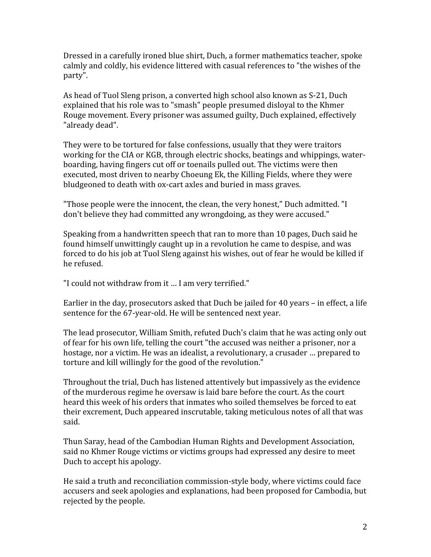Dressed
in
a
carefully
ironed
blue
shirt,
Duch,
a
former
mathematics
teacher,
spoke calmly
and
coldly,
his
evidence
littered
with
casual
references
to
"the
wishes
of
the party".

As
head
of
Tuol
Sleng
prison,
a
converted
high
school
also
known
as
S‐21,
Duch explained
that
his
role
was
to
"smash"
people
presumed
disloyal
to
the
Khmer Rouge
movement.
Every
prisoner
was
assumed
guilty,
Duch
explained,
effectively "already
dead".

They
were
to
be
tortured
for
false
confessions,
usually
that
they
were
traitors working for the CIA or KGB, through electric shocks, beatings and whippings, waterboarding, having fingers cut off or toenails pulled out. The victims were then executed,
most
driven
to
nearby
Choeung
Ek,
the
Killing
Fields,
where
they
were bludgeoned
to
death
with
ox‐cart
axles
and
buried
in
mass
graves.

"Those people were the innocent, the clean, the very honest," Duch admitted. "I don't
believe
they
had
committed
any
wrongdoing,
as
they
were
accused."

Speaking
from
a
handwritten
speech
that
ran
to
more
than
10
pages,
Duch
said
he found
himself
unwittingly
caught
up
in
a
revolution
he
came
to
despise,
and
was forced to do his job at Tuol Sleng against his wishes, out of fear he would be killed if he
refused.

"I
could
not
withdraw
from
it
…
I
am
very
terrified."

Earlier in the day, prosecutors asked that Duch be jailed for 40 years – in effect, a life sentence for the 67-year-old. He will be sentenced next year.

The
lead
prosecutor,
William
Smith,
refuted
Duch's
claim
that
he
was
acting
only
out of fear for his own life, telling the court "the accused was neither a prisoner, nor a hostage, nor a victim. He was an idealist, a revolutionary, a crusader ... prepared to torture and kill willingly for the good of the revolution."

Throughout
the
trial,
Duch
has
listened
attentively
but
impassively
as
the
evidence of the murderous regime he oversaw is laid bare before the court. As the court heard this week of his orders that inmates who soiled themselves be forced to eat their
excrement,
Duch
appeared
inscrutable,
taking
meticulous
notes
of
all
that
was said.

Thun Saray, head of the Cambodian Human Rights and Development Association, said
no
Khmer
Rouge
victims
or
victims
groups
had
expressed
any
desire
to
meet Duch
to
accept
his
apology.

He
said
a
truth
and
reconciliation
commission‐style
body,
where
victims
could
face accusers
and
seek
apologies
and
explanations,
had
been
proposed
for
Cambodia,
but rejected
by
the
people.